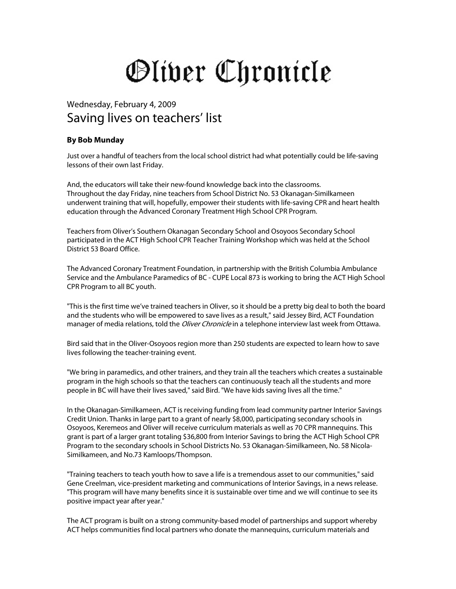## Oliver Chronicle

## Wednesday, February 4, 2009 Saving lives on teachers' list

## **By Bob Munday**

Just over a handful of teachers from the local school district had what potentially could be life-saving lessons of their own last Friday.

And, the educators will take their new-found knowledge back into the classrooms. Throughout the day Friday, nine teachers from School District No. 53 Okanagan-Similkameen underwent training that will, hopefully, empower their students with life-saving CPR and heart health education through the Advanced Coronary Treatment High School CPR Program.

Teachers from Oliver's Southern Okanagan Secondary School and Osoyoos Secondary School participated in the ACT High School CPR Teacher Training Workshop which was held at the School District 53 Board Office.

The Advanced Coronary Treatment Foundation, in partnership with the British Columbia Ambulance Service and the Ambulance Paramedics of BC - CUPE Local 873 is working to bring the ACT High School CPR Program to all BC youth.

"This is the first time we've trained teachers in Oliver, so it should be a pretty big deal to both the board and the students who will be empowered to save lives as a result," said Jessey Bird, ACT Foundation manager of media relations, told the *Oliver Chronicle* in a telephone interview last week from Ottawa.

Bird said that in the Oliver-Osoyoos region more than 250 students are expected to learn how to save lives following the teacher-training event.

"We bring in paramedics, and other trainers, and they train all the teachers which creates a sustainable program in the high schools so that the teachers can continuously teach all the students and more people in BC will have their lives saved," said Bird. "We have kids saving lives all the time."

In the Okanagan-Similkameen, ACT is receiving funding from lead community partner Interior Savings Credit Union. Thanks in large part to a grant of nearly \$8,000, participating secondary schools in Osoyoos, Keremeos and Oliver will receive curriculum materials as well as 70 CPR mannequins. This grant is part of a larger grant totaling \$36,800 from Interior Savings to bring the ACT High School CPR Program to the secondary schools in School Districts No. 53 Okanagan-Similkameen, No. 58 Nicola-Similkameen, and No.73 Kamloops/Thompson.

"Training teachers to teach youth how to save a life is a tremendous asset to our communities," said Gene Creelman, vice-president marketing and communications of Interior Savings, in a news release. "This program will have many benefits since it is sustainable over time and we will continue to see its positive impact year after year."

The ACT program is built on a strong community-based model of partnerships and support whereby ACT helps communities find local partners who donate the mannequins, curriculum materials and